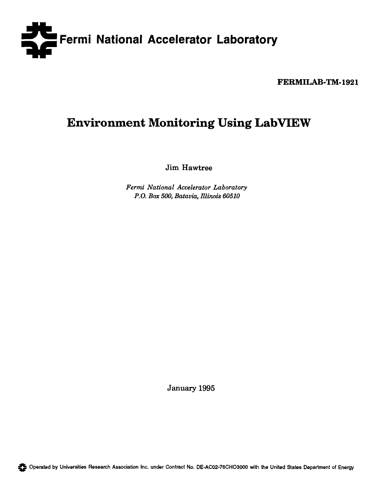

**FERMILAB-TM-1921** 

# **Environment Monitoring Using LabVIEW**

Jim Hawtree

*Fermi National Accelerator Laboratory P.O. Box 500, Batavia, Illinois 60510* 

January 1995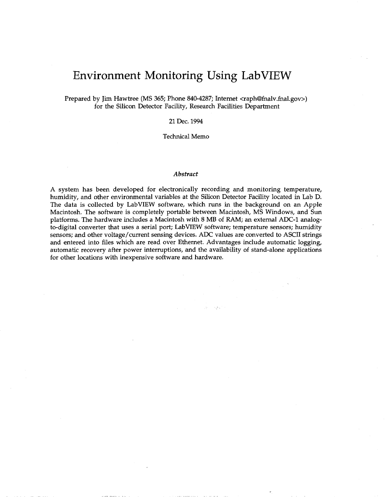### Environment Monitoring Using LabVIEW

Prepared by Jim Hawtree (MS 365; Phone 840-4287; Internet <[raph@fnalv.fnal.gov>\)](mailto:raph@fnalv.fnal.gov) for the Silicon Detector Facility, Research Facilities Department

21 Dec. 1994

Technical Memo

#### *Abstract*

*A* system has been developed for electronically recording and monitoring temperature, humidity, and other environmental variables at the Silicon Detector Facility located in Lab D. The data is collected by LabVIEW software, which runs in the background on an Apple Macintosh. The software is completely portable between Macintosh, MS Windows, and Sun platforms. The hardware includes a Macintosh with 8 MB of RAM; an external ADC-1 analogto-digital converter that uses a serial port; LabVIEW software; temperature sensors; humidity sensors; and other voltage/current sensing devices. ADC values are converted to ASCII strings and entered into files which are read over Ethernet. Advantages include automatic logging, automatic recovery after power interruptions, and the availability of stand-alone applications for other locations with inexpensive software and hardware.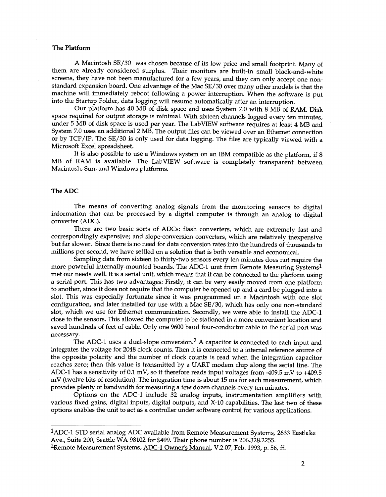#### **The Platform**

A Macintosh SE/30 was chosen because of its low price and small footprint. Many of them are already considered surplus. Their monitors are built-in small black-and-white screens, they have not been manufactured for a few years, and they can only accept one nonstandard expansion board. One advantage of the Mac SE/30 over many other models is that the machine will immediately reboot following a power interruption. When the software is put into the Startup Folder, data logging will resume automatically after an interruption.

Our platform has 40 MB of disk space and uses System 7.0 with 8 MB of RAM. Disk space required for output storage is minimal. With sixteen channels logged every ten minutes, under 5 MB of disk space is used per year. The Lab VIEW software requires at least 4 MB and System 7.0 uses an additional 2 MB. The output files can be viewed over an Ethernet connection or by TCP/IP. The SE/30 is only used for data logging. The files are typically viewed with a Microsoft Excel spreadsheet.

It is also possible to use a Windows system on an IBM compatible as the platform, if 8 MB of RAM is available. The LabVIEW software is completely transparent between Macintosh, Sun, and Windows platforms.

#### **The ADC**

The means of converting analog signals from the monitoring sensors to digital information that can be processed by a digital computer is through an analog to digital converter (ADC).

There are two basic sorts of ADCs: flash converters, which are extremely fast and correspondingly expensive; and slope-conversion converters, which are relatively inexpensive but far slower. Since there is no need for data conversion rates into the hundreds of thousands to millions per second, we have settled on a solution that is both versatile and economical.

Sampling data from sixteen to thirty-two sensors every ten minutes does not require the more powerful internally-mounted boards. The ADC-1 unit from Remote Measuring Systems<sup>1</sup> met our needs well. It is a serial unit, which means that it can be connected to the platform using a serial port. This has two advantages: Firstly, it can be very easily moved from one platform to another, since it does not require that the computer be opened up and a card be plugged into a slot. This was especially fortunate since it was programmed on a Macintosh with one slot configuration, and later installed for use with a Mac SE/30, which has only one non-standard slot, which we use for Ethernet communication. Secondly, we were able to install the ADC-1 close to the sensors. This allowed the computer to be stationed in a more convenient location and saved hundreds of feet of cable. Only one 9600 baud four-conductor cable to the serial port was necessary.

The ADC-1 uses a dual-slope conversion.<sup>2</sup> A capacitor is connected to each input and integrates the voltage for 2048 clock counts. Then it is connected to a internal reference source of the opposite polarity and the number of clock counts is read when the integration capacitor reaches zero; then this value is transmitted by a UART modem chip along the serial line. The ADC-1 has a sensitivity of 0.1 mV, so it therefore reads input voltages from -409.5 mV to +409.5 mV (twelve bits of resolution). The integration time is about 15 ms for each measurement, which provides plenty of bandwidth for measuring a few dozen channels every ten minutes.

Options on the ADC-1 include 32 analog inputs, instrumentation amplifiers with various fixed gains, digital inputs, digital outputs, and X-10 capabilities. The last two of these options enables the unit to act as a controller under software control for various applications.

<sup>&</sup>lt;sup>1</sup>ADC-1 STD serial analog ADC available from Remote Measurement Systems, 2633 Eastlake Ave., Suite 200, Seattle WA 98102 for \$499. Their phone number is 206.328.2255.

<sup>&</sup>lt;sup>2</sup>Remote Measurement Systems, ADC-1 Owner's Manual, V.2.07, Feb. 1993, p. 56, ff.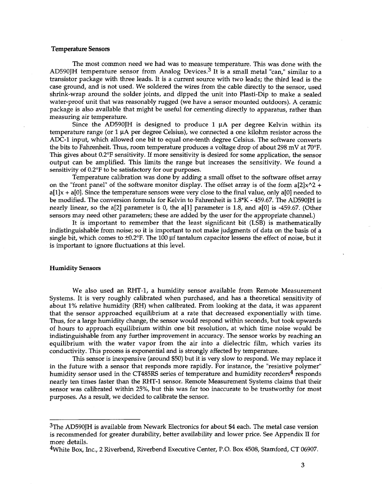#### **Temperature Sensors**

The most common need we had was to measure temperature. This was done with the AD590JH temperature sensor from Analog Devices.<sup>3</sup> It is a small metal "can," similar to a transistor package with three leads. It is a current source with two leads; the third lead is the case ground, and is not used. We soldered the wires from the cable directly to the sensor, used shrink-wrap around the solder joints, and dipped the unit into Plasti-Dip to make a sealed water-proof unit that was reasonably rugged (we have a sensor mounted outdoors). A ceramic package is also available that might be useful for cementing directly to apparatus, rather than measuring air temperature.

Since the AD590JH is designed to produce 1  $\mu$ A per degree Kelvin within its temperature range (or  $1 \mu A$  per degree Celsius), we connected a one kilohm resistor across the ADC-1 input, which allowed one bit to equal one-tenth degree Celsius. The software converts the bits to Fahrenheit. Thus, room temperature produces a voltage drop of about 298 mV at 70°F. This gives about 0.2°F sensitivity. If more sensitivity is desired for some application, the sensor output can be amplified. This limits the range but increases the sensitivity. We found a sensitivity of 0.2°F to be satisfactory for our purposes.

Temperature calibration was done by adding a small offset to the software offset array on the "front panel" of the software monitor display. The offset array is of the form  $a[2]x^2$  + a[1] $x + a$ [0]. Since the temperature sensors were very close to the final value, only a[0] needed to be modified. The conversion formula for Kelvin to Fahrenheit is 1.8\*K - 459.67. The AD590JH is nearly linear, so the a[2] parameter is 0, the a[1] parameter is 1.8, and a[0] is -459.67. (Other sensors may need other parameters; these are added by the user for the appropriate channel.)

It is important to remember that the least significant bit (LSB) is mathematically indistinguishable from noise; so it is important to not make judgments of data on the basis of a single bit, which comes to  $\pm 0.2$ °F. The 100 µf tantalum capacitor lessens the effect of noise, but it is important to ignore fluctuations at this level.

#### **Humidity Sensors**

We also used an RHT-1, a humidity sensor available from Remote Measurement Systems. It is very roughly calibrated when purchased, and has a theoretical sensitivity of about 1% relative humidity (RH) when calibrated. From looking at the data, it was apparent that the sensor approached equilibrium at a rate that decreased exponentially with time. Thus, for a large humidity change, the sensor would respond within seconds, but took upwards of hours to approach equilibrium within one bit resolution, at which time noise would be indistinguishable from any further improvement in accuracy. The sensor works by reaching an equilibrium with the water vapor from the air into a dielectric film, which varies its conductivity. This process is exponential and is strongly affected by temperature.

This sensor is inexpensive (around \$50) but it is very slow to respond. We may replace it in the future with a sensor that responds more rapidly. For instance, the "resistive polymer" humidity sensor used in the CT485RS series of temperature and humidity recorders<sup>4</sup> responds nearly ten times faster than the RHT-1 sensor. Remote Measurement Systems claims that their sensor was calibrated within 25%, but this was far too inaccurate to be trustworthy for most purposes. As a result, we decided to calibrate the sensor.

<sup>3</sup>The AD590JH is available from Newark Electronics for about \$4 each. The metal case version is recommended for greater durability, better availability and lower price. See Appendix II for more details.

<sup>4</sup>White Box, Inc., 2 Riverbend, Riverbend Executive Center, P.O. Box 4508, Stamford, CT 06907.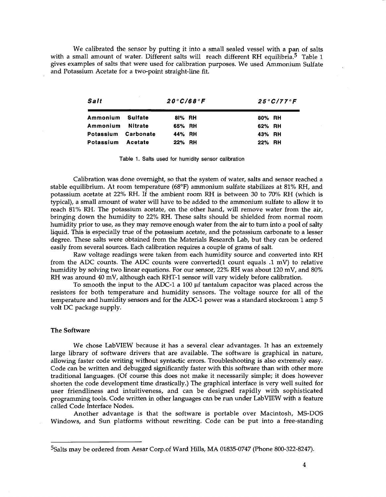We calibrated the sensor by putting it into a small sealed vessel with a pan of salts with a small amount of water. Different salts will reach different RH equilibria.<sup>5</sup> Table 1 gives examples of salts that were used for calibration purposes. We used Ammonium Sulfate and Potassium Acetate for a two-point straight-line fit.

| Salt                | 20°C/68°F |        |  | $25^{\circ}$ C/77 $^{\circ}$ F |  |
|---------------------|-----------|--------|--|--------------------------------|--|
| Ammonium            | Sulfate   | 81% RH |  | 80% RH                         |  |
| Ammonium            | Nitrate   | 65% RH |  | 62% RH                         |  |
| Potassium Carbonate |           | 44% RH |  | 43% RH                         |  |
| Potassium           | Acetate   | 22% RH |  | 22% RH                         |  |

Table 1. Salts used for humidity sensor calibration

Calibration was done overnight, so that the system of water, salts and sensor reached a stable equilibrium. At room temperature (68°F) ammonium sulfate stabilizes at 81% RH, and potassium acetate at 22% RH. If the ambient room RH is between 30 to 70% RH (which is typical), a small amount of water will have to be added to the ammonium sulfate to allow it to reach 81% RH. The potassium acetate, on the other hand, will remove water from the air, bringing down the humidity to 22% RH. These salts should be shielded from normal room humidity prior to use, as they may remove enough water from the air to turn into a pool of salty liquid. This is especially true of the potassium acetate, and the potassium carbonate to a lesser degree. These salts were obtained from the Materials Research Lab, but they can be ordered easily from several sources. Each calibration requires a couple of grams of salt.

Raw voltage readings were taken from each humidity source and converted into RH from the ADC counts. The ADC counts were converted(l count equals .1 mV) to relative humidity by solving two linear equations. For our sensor, 22% RH was about 120 mV, and 80% RH was around 40 mV, although each RHT-1 sensor will vary widely before calibration.

To smooth the input to the ADC-1 a 100  $\mu$ f tantalum capacitor was placed across the resistors for both temperature and humidity sensors. The voltage source for all of the temperature and humidity sensors and for the ADC-1 power was a standard stockroom 1 amp 5 volt DC package supply.

#### **The** Software

We chose LabVIEW because it has a several clear advantages. It has an extremely large library of software drivers that are available. The software is graphical in nature, allowing faster code writing without syntactic errors. Troubleshooting is also extremely easy. Code can be written and debugged significantly faster with this software than with other more traditional languages. (Of course this does not make it necessarily simple; it does however shorten the code development time drastically.) The graphical interface is very well suited for user friendliness and intuitiveness, and can be designed rapidly with sophisticated programming tools. Code written in other languages can be run under LabVIEW with a feature called Code Interface Nodes.

Another advantage is that the software is portable over Macintosh, MS-DOS Windows, and Sun platforms without rewriting. Code can be put into a free-standing

<sup>5</sup> Salts may be ordered from Aesar Corp.of Ward Hills, MA 01835-0747 (Phone 800-322-8247).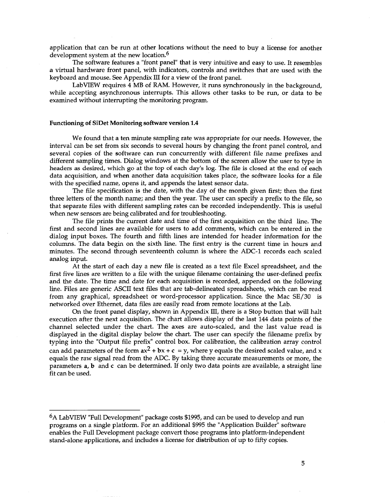application that can be run at other locations without the need to buy a license for another development system at the new location.<sup>6</sup>

The software features a "front panel" that is very intuitive and easy to use. It resembles a virtual hardware front panel, with indicators, controls and switches that are used with the keyboard and mouse. See Appendix III for a view of the front panel.

Lab VIEW requires 4 MB of RAM. However, it runs synchronously in the background, while accepting asynchronous interrupts. This allows other tasks to be run, or data to be examined without interrupting the monitoring program.

#### **Functioning of SiDet Monitoring software version 1.4**

We found that a ten minute sampling rate was appropriate for our needs. However, the interval can be set from six seconds to several hours by changing the front panel control, and several copies of the software can run concurrently with different file name prefixes and different sampling times. Dialog windows at the bottom of the screen allow the user to type in headers as desired, which go at the top of each day's log. The file is closed at the end of each data acquisition, and when another data acquisition takes place, the software looks for a file with the specified name, opens it, and appends the latest sensor data.

The file specification is the date, with the day of the month given first; then the first three letters of the month name; and then the year. The user can specify a prefix to the file, so that separate files with different sampling rates can be recorded independently. This is useful when new sensors are being calibrated and for troubleshooting.

The file prints the current date and time of the first acquisition on the third line. The first and second lines are available for users to add comments, which can be entered in the dialog input boxes. The fourth and fifth lines are intended for header information for the columns. The data begin on the sixth line. The first entry is the current time in hours and minutes. The second through seventeenth column is where the ADC-1 records each scaled analog input.

At the start of each day a new file is created as a text file Excel spreadsheet, and the first five lines are written to a file with the unique filename containing the user-defined prefix and the date. The time and date for each acquisition is recorded, appended on the following line. Files are generic ASCII text files that are tab-delineated spreadsheets, which can be read from any graphical, spreadsheet or word-processor application. Since the Mac SE/30 is networked over Ethernet, data files are easily read from remote locations at the Lab.

On the front panel display, shown in Appendix III, there is a Stop button that will halt execution after the next acquisition. The chart allows display of the last 144 data points of the channel selected under the chart. The axes are auto-scaled, and the last value read is displayed in the digital display below the chart. The user can specify the filename prefix by typing into the "Output file prefix" control box. For calibration, the calibration array control can add parameters of the form  $ax^2 + bx + c = y$ , where y equals the desired scaled value, and x equals the raw signal read from the ADC. By taking three accurate measurements or more, the parameters a, b and **c** can be determined. If only two data points are available, a straight line fit can be used.

<sup>&</sup>lt;sup>6</sup>A LabVIEW "Full Development" package costs \$1995, and can be used to develop and run programs on a single platform. For an additional \$995 the "Application Builder" software enables the Full Development package convert those programs into platform-independent stand-alone applications, and includes a license for distribution of up to fifty copies.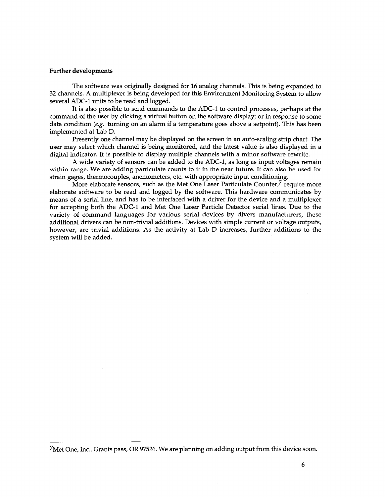#### Further developments

The software was originally designed for 16 analog channels. This is being expanded to 32 channels. A multiplexer is being developed for this Environment Monitoring System to allow several ADC-1 units to be read and logged.

It is also possible to send commands to the ADC-1 to control processes, perhaps at the command of the user by clicking a virtual button on the software display; or in response to some data condition *(e.g.* turning on an alarm if a temperature goes above a setpoint). This has been implemented at Lab D.

Presently one channel may be displayed on the screen in an auto-scaling strip chart. The user may select which channel is being monitored, and the latest value is also displayed in a digital indicator. It is possible to display multiple channels with a minor software rewrite.

A wide variety of sensors can be added to the ADC-1, as long as input voltages remain within range. We are adding particulate counts to it in the near future. It can also be used for strain gages, thermocouples, anemometers, etc. with appropriate input conditioning.

More elaborate sensors, such as the Met One Laser Particulate Counter,<sup>7</sup> require more elaborate software to be read and logged by the software. This hardware communicates by means of a serial line, and has to be interfaced with a driver for the device and a multiplexer for accepting both the ADC-1 and Met One Laser Particle Detector serial lines. Due to the variety of command languages for various serial devices by divers manufacturers, these additional drivers can be non-trivial additions. Devices with simple current or voltage outputs, however, are trivial additions. As the activity at Lab D increases, further additions to the system will be added.

<sup>7</sup>Met One, Inc., Grants pass, OR 97526. We are planning on adding output from this device soon.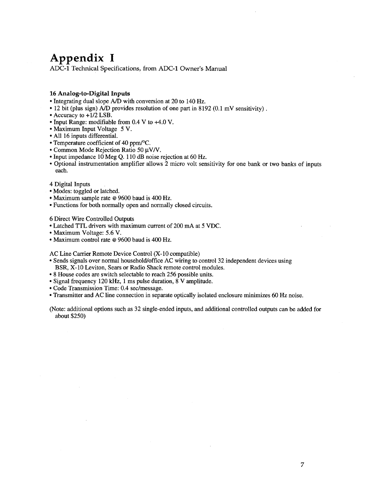# **Appendix I**

ADC-l Technical Specifications, from ADC-1 Owner's Manual

### **16 Analog-to-Digital Inputs**

- Integrating dual slope A/D with conversion at 20 to 140 Hz.
- 12 bit (plus sign) A/D provides resolution of one part in 8192 (0.1 mV sensitivity).
- Accuracy to +1/2 LSB.
- Input Range: modifiable from 0.4 V to +4.0 V.
- Maximum Input Voltage 5 V.
- All 16 inputs differential.
- Temperature coefficient of 40 ppm/°C.
- Common Mode Rejection Ratio 50 µV/V.
- Input impedance 10 Meg Q. 110 dB noise rejection at 60 Hz.
- Optional instrumentation amplifier allows 2 micro volt sensitivity for one bank or two banks of inputs each.
- 4 Digital Inputs
- Modes: toggled or latched.
- Maximum sample rate @ 9600 baud is 400 Hz.
- Functions for both normally open and normally closed circuits.

6 Direct Wire Controlled Outputs

- Latched TTL drivers with maximum current of 200 mA at 5 VDC.
- Maximum Voltage: 5.6 V.
- Maximum control rate @ 9600 baud is 400 Hz.

AC Line Carrier Remote Device Control (X-10 compatible)

- Sends signals over normal household/office AC wiring to control 32 independent devices using BSR, X-10 Leviton, Sears or Radio Shack remote control modules.
- 8 House codes are switch selectable to reach 256 possible units.
- Signal frequency 120 kHz, 1 ms pulse duration, 8 V amplitude.
- Code Transmission Time: 0.4 sec/message.
- Transmitter and AC line connection in separate optically isolated enclosure minimizes 60 Hz noise.

(Note: additional options such as 32 single-ended inputs, and additional controlled outputs can be added for about \$250)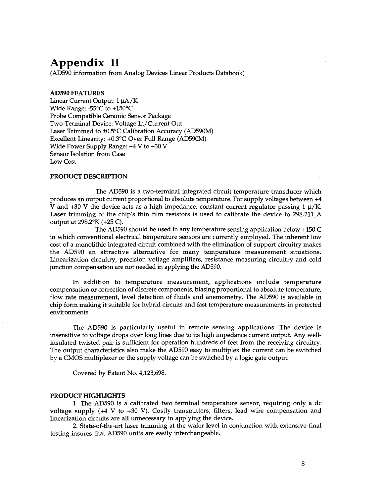### **Appendix II**

(AD590 information from Analog Devices Linear Products Databook)

#### **AD590 FEATURES**

Linear Current Output: 1 µA/K Wide Range: -55°C to +150°C Probe Compatible Ceramic Sensor Package Two-Terminal Device: Voltage In/Current Out Laser Trimmed to ±0.5°C Calibration Accuracy (AD590M) Excellent Linearity: +0.3°C Over Full Range (AD590M) Wide Power Supply Range: +4 V to +30 V Sensor Isolation from Case Low Cost

#### **PRODUCT DESCRIPTION**

The AD590 is a two-terminal integrated circuit temperature transducer which produces an output current proportional to absolute temperature. For supply voltages between +4 V and  $+30$  V the device acts as a high impedance, constant current regulator passing 1  $\mu$ /K. Laser trimming of the chip's thin film resistors is used to calibrate the device to 298.211 A output at 298.2°K (+25 C).

The AD590 should be used in any temperature sensing application below +150 C in which conventional electrical temperature sensors are currently employed. The inherent low cost of a monolithic integrated circuit combined with the elimination of support circuitry makes the AD590 an attractive alternative for many temperature measurement situations. Linearization circuitry, precision voltage amplifiers, resistance measuring circuitry and cold junction compensation are not needed in applying the AD590.

In addition to temperature measurement, applications include temperature compensation or correction of discrete components, biasing proportional to absolute temperature, flow rate measurement, level detection of fluids and anemometry. The AD590 is available in chip form making it suitable for hybrid circuits and fast temperature measurements in protected environments.

The AD590 is particularly useful in remote sensing applications. The device is insensitive to voltage drops over long lines due to its high impedance current output. Any wellinsulated twisted pair is sufficient for operation hundreds of feet from the receiving circuitry. The output characteristics also make the AD590 easy to multiplex the current can be switched by a CMOS multiplexer or the supply voltage can be switched by a logic gate output.

Covered by Patent No. 4,123,698.

#### **PRODUCT HIGHLIGHTS**

1. The AD590 is a calibrated two terminal temperature sensor, requiring only a dc voltage supply (+4 V to +30 V). Costly transmitters, filters, lead wire compensation and linearization circuits are all unnecessary in applying the device.

2. State-of-the-art laser trimming at the wafer level in conjunction with extensive final testing insures that AD590 units are easily interchangeable.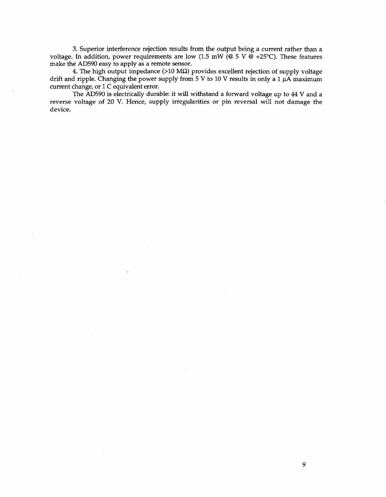3. Superior interference rejection results from the output being a current rather than a voltage. In addition, power requirements are low (1.5 mW (@ 5 V  $\overset{\sim}{\varnothing}$  +25°C). These features make the AD590 easy to apply as a remote sensor.

4. The high output impedance ( $>10$  M $\Omega$ ) provides excellent rejection of supply voltage drift and ripple. Changing the power supply from 5 V to 10 V results in only a 1  $\mu$ A maximum current change, or 1 C equivalent error.

The AD590 is electrically durable: it will withstand a forward voltage up to 44 V and a reverse voltage of 20 V. Hence, supply irregularities or pin reversal will not damage the device.

9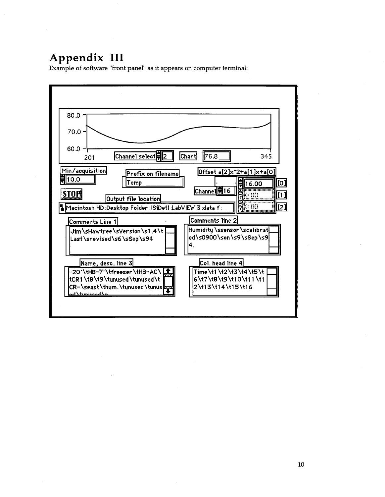# **Appendix III**

Example of software "front panel" as it appears on computer terminal: